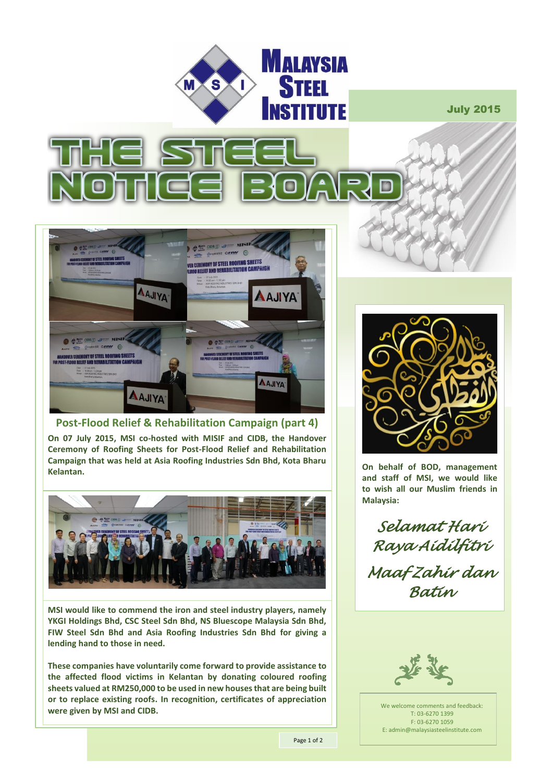

July 2015





**Post-Flood Relief & Rehabilitation Campaign (part 4)**

**On 07 July 2015, MSI co-hosted with MISIF and CIDB, the Handover Ceremony of Roofing Sheets for Post-Flood Relief and Rehabilitation Campaign that was held at Asia Roofing Industries Sdn Bhd, Kota Bharu Kelantan.** 



**MSI would like to commend the iron and steel industry players, namely YKGI Holdings Bhd, CSC Steel Sdn Bhd, NS Bluescope Malaysia Sdn Bhd, FIW Steel Sdn Bhd and Asia Roofing Industries Sdn Bhd for giving a lending hand to those in need.** 

**These companies have voluntarily come forward to provide assistance to the affected flood victims in Kelantan by donating coloured roofing sheets valued at RM250,000 to be used in new houses that are being built or to replace existing roofs. In recognition, certificates of appreciation were given by MSI and CIDB.**



**On behalf of BOD, management and staff of MSI, we would like to wish all our Muslim friends in Malaysia:**

*Selamat Hari Raya Aidilfitri Maaf Zahir dan Batin* 



We welcome comments and feedback: T: 03-6270 1399 F: 03-6270 1059 E: admin@malaysiasteelinstitute.com

Page 1 of 2